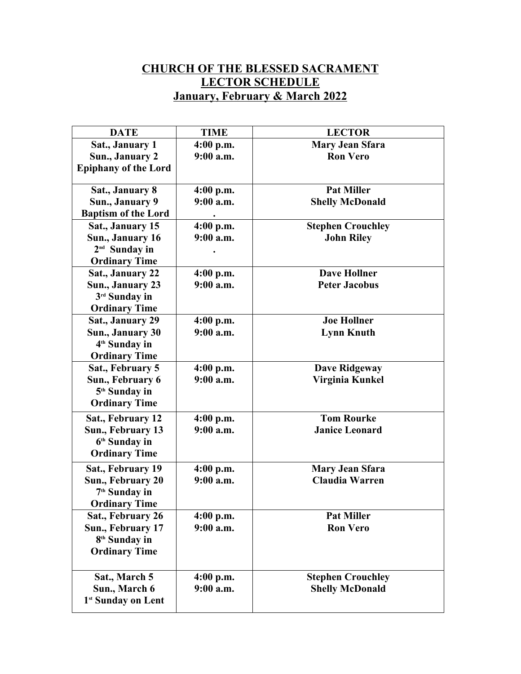## **CHURCH OF THE BLESSED SACRAMENT LECTOR SCHEDULE January, February & March 2022**

| <b>DATE</b>                    | <b>TIME</b> | <b>LECTOR</b>            |
|--------------------------------|-------------|--------------------------|
| Sat., January 1                | 4:00 p.m.   | <b>Mary Jean Sfara</b>   |
| Sun., January 2                | $9:00$ a.m. | <b>Ron Vero</b>          |
| <b>Epiphany of the Lord</b>    |             |                          |
|                                |             |                          |
| Sat., January 8                | $4:00$ p.m. | <b>Pat Miller</b>        |
| Sun., January 9                | $9:00$ a.m. | <b>Shelly McDonald</b>   |
| <b>Baptism of the Lord</b>     |             |                          |
| Sat., January 15               | 4:00 p.m.   | <b>Stephen Crouchley</b> |
| Sun., January 16               | $9:00$ a.m. | <b>John Riley</b>        |
| 2 <sup>nd</sup> Sunday in      |             |                          |
| <b>Ordinary Time</b>           |             |                          |
| Sat., January 22               | $4:00$ p.m. | <b>Dave Hollner</b>      |
| Sun., January 23               | $9:00$ a.m. | <b>Peter Jacobus</b>     |
| 3rd Sunday in                  |             |                          |
| <b>Ordinary Time</b>           |             |                          |
| Sat., January 29               | 4:00 p.m.   | <b>Joe Hollner</b>       |
| Sun., January 30               | $9:00$ a.m. | <b>Lynn Knuth</b>        |
| 4 <sup>th</sup> Sunday in      |             |                          |
| <b>Ordinary Time</b>           |             |                          |
| Sat., February 5               | $4:00$ p.m. | <b>Dave Ridgeway</b>     |
| Sun., February 6               | $9:00$ a.m. | Virginia Kunkel          |
| 5 <sup>th</sup> Sunday in      |             |                          |
| <b>Ordinary Time</b>           |             |                          |
| Sat., February 12              | $4:00$ p.m. | <b>Tom Rourke</b>        |
| Sun., February 13              | $9:00$ a.m. | <b>Janice Leonard</b>    |
| 6 <sup>th</sup> Sunday in      |             |                          |
| <b>Ordinary Time</b>           |             |                          |
| Sat., February 19              | $4:00$ p.m. | <b>Mary Jean Sfara</b>   |
| Sun., February 20              | $9:00$ a.m. | <b>Claudia Warren</b>    |
| 7 <sup>th</sup> Sunday in      |             |                          |
| <b>Ordinary Time</b>           |             |                          |
| Sat., February 26              | $4:00$ p.m. | <b>Pat Miller</b>        |
| Sun., February 17              | 9:00 a.m.   | <b>Ron Vero</b>          |
| 8 <sup>th</sup> Sunday in      |             |                          |
| <b>Ordinary Time</b>           |             |                          |
|                                |             |                          |
| Sat., March 5                  | $4:00$ p.m. | <b>Stephen Crouchley</b> |
| Sun., March 6                  | 9:00 a.m.   | <b>Shelly McDonald</b>   |
| 1 <sup>st</sup> Sunday on Lent |             |                          |